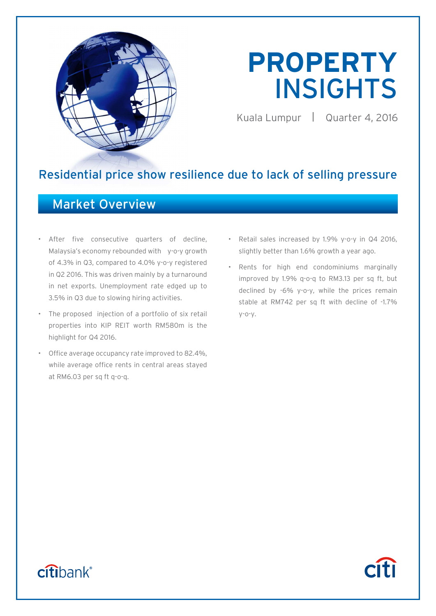

# **PROPERTY**  INSIGHTS

Kuala Lumpur | Quarter 4, 2016

**Citi** 

# Residential price show resilience due to lack of selling pressure

# Market Overview

- After five consecutive quarters of decline, Malaysia's economy rebounded with y-o-y growth of 4.3% in Q3, compared to 4.0% y-o-y registered in Q2 2016. This was driven mainly by a turnaround in net exports. Unemployment rate edged up to 3.5% in Q3 due to slowing hiring activities.
- The proposed injection of a portfolio of six retail properties into KIP REIT worth RM580m is the highlight for Q4 2016.
- Office average occupancy rate improved to 82.4%, while average office rents in central areas stayed at RM6.03 per sq ft q-o-q.
- Retail sales increased by 1.9% y-o-y in Q4 2016, slightly better than 1.6% growth a year ago.
- Rents for high end condominiums marginally improved by 1.9% q-o-q to RM3.13 per sq ft, but declined by -6% y-o-y, while the prices remain stable at RM742 per sq ft with decline of -1.7% y-o-y.

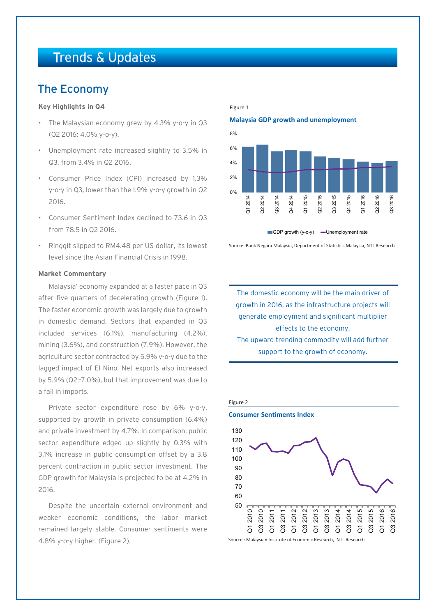# Trends & Updates

## The Economy

#### **Key Highlights in Q4**

- The Malaysian economy grew by 4.3% y-o-y in Q3 (Q2 2016: 4.0% y-o-y).
- Unemployment rate increased slightly to 3.5% in Q3, from 3.4% in Q2 2016.
- Consumer Price Index (CPI) increased by 1.3% y-o-y in Q3, lower than the 1.9% y-o-y growth in Q2 2016.
- Consumer Sentiment Index declined to 73.6 in Q3 from 78.5 in Q2 2016.
- Ringgit slipped to RM4.48 per US dollar, its lowest level since the Asian Financial Crisis in 1998.

#### **Market Commentary**

Malaysia' economy expanded at a faster pace in Q3 after five quarters of decelerating growth (Figure 1). The faster economic growth was largely due to growth in domestic demand. Sectors that expanded in Q3 included services (6.1%), manufacturing (4.2%), mining (3.6%), and construction (7.9%). However, the agriculture sector contracted by 5.9% y-o-y due to the lagged impact of El Nino. Net exports also increased by 5.9% (Q2:-7.0%), but that improvement was due to a fall in imports.

Private sector expenditure rose by 6% y-o-y, supported by growth in private consumption (6.4%) and private investment by 4.7%. In comparison, public sector expenditure edged up slightly by 0.3% with 3.1% increase in public consumption offset by a 3.8 percent contraction in public sector investment. The GDP growth for Malaysia is projected to be at 4.2% in 2016.

Despite the uncertain external environment and weaker economic conditions, the labor market remained largely stable. Consumer sentiments were 4.8% y-o-y higher. (Figure 2).

#### Figure 1

#### **Malaysia GDP growth and unemployment**



Source :Bank Negara Malaysia, Department of Statistics Malaysia, NTL Research

The domestic economy will be the main driver of growth in 2016, as the infrastructure projects will generate employment and significant multiplier effects to the economy. The upward trending commodity will add further support to the growth of economy.







Source : Malaysian Institute of Economic Research, NTL Research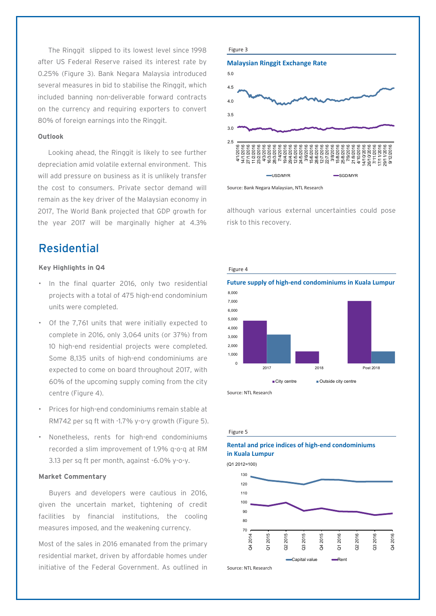The Ringgit slipped to its lowest level since 1998 after US Federal Reserve raised its interest rate by 0.25% (Figure 3). Bank Negara Malaysia introduced several measures in bid to stabilise the Ringgit, which included banning non-deliverable forward contracts on the currency and requiring exporters to convert 80% of foreign earnings into the Ringgit.

#### **Outlook**

Looking ahead, the Ringgit is likely to see further depreciation amid volatile external environment. This will add pressure on business as it is unlikely transfer the cost to consumers. Private sector demand will remain as the key driver of the Malaysian economy in 2017, The World Bank projected that GDP growth for the year 2017 will be marginally higher at 4.3%

### Residential

#### **Key Highlights in Q4**

- In the final quarter 2016, only two residential projects with a total of 475 high-end condominium units were completed.
- Of the 7,761 units that were initially expected to complete in 2016, only 3,064 units (or 37%) from 10 high-end residential projects were completed. Some 8,135 units of high-end condominiums are expected to come on board throughout 2017, with 60% of the upcoming supply coming from the city centre (Figure 4).
- Prices for high-end condominiums remain stable at RM742 per sq ft with -1.7% y-o-y growth (Figure 5).
- Nonetheless, rents for high-end condominiums recorded a slim improvement of 1.9% q-o-q at RM 3.13 per sq ft per month, against -6.0% y-o-y.

#### **Market Commentary**

Buyers and developers were cautious in 2016, given the uncertain market, tightening of credit facilities by financial institutions, the cooling measures imposed, and the weakening currency.

Most of the sales in 2016 emanated from the primary residential market, driven by affordable homes under initiative of the Federal Government. As outlined in



Source: Bank Negara Malaysian, NTL Research

although various external uncertainties could pose risk to this recovery.



Source: NTL Research

#### Figure 5

#### **Rental and price indices of high-end condominiums in Kuala Lumpur**

(Q1 2012=100)



Source: NTL Research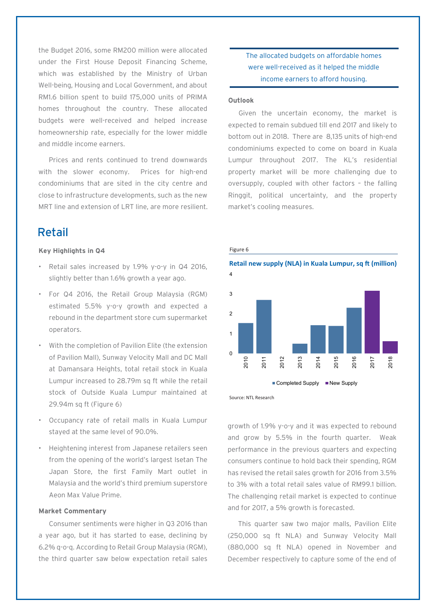the Budget 2016, some RM200 million were allocated under the First House Deposit Financing Scheme, which was established by the Ministry of Urban Well-being, Housing and Local Government, and about RM1.6 billion spent to build 175,000 units of PRIMA homes throughout the country. These allocated budgets were well-received and helped increase homeownership rate, especially for the lower middle and middle income earners.

Prices and rents continued to trend downwards with the slower economy. Prices for high-end condominiums that are sited in the city centre and close to infrastructure developments, such as the new MRT line and extension of LRT line, are more resilient.

### Retail

#### **Key Highlights in Q4**

- Retail sales increased by 1.9% y-o-y in Q4 2016, slightly better than 1.6% growth a year ago.
- For Q4 2016, the Retail Group Malaysia (RGM) estimated 5.5% y-o-y growth and expected a rebound in the department store cum supermarket operators.
- With the completion of Pavilion Elite (the extension of Pavilion Mall), Sunway Velocity Mall and DC Mall at Damansara Heights, total retail stock in Kuala Lumpur increased to 28.79m sq ft while the retail stock of Outside Kuala Lumpur maintained at 29.94m sq ft (Figure 6)
- Occupancy rate of retail malls in Kuala Lumpur stayed at the same level of 90.0%.
- Heightening interest from Japanese retailers seen from the opening of the world's largest Isetan The Japan Store, the first Family Mart outlet in Malaysia and the world's third premium superstore Aeon Max Value Prime.

#### **Market Commentary**

Consumer sentiments were higher in Q3 2016 than a year ago, but it has started to ease, declining by 6.2% q-o-q. According to Retail Group Malaysia (RGM), the third quarter saw below expectation retail sales The allocated budgets on affordable homes were well-received as it helped the middle income earners to afford housing.

#### **Outlook**

Given the uncertain economy, the market is expected to remain subdued till end 2017 and likely to bottom out in 2018. There are 8,135 units of high-end condominiums expected to come on board in Kuala Lumpur throughout 2017. The KL's residential property market will be more challenging due to oversupply, coupled with other factors – the falling Ringgit, political uncertainty, and the property market's cooling measures.



Source: NTL Research

growth of 1.9% y-o-y and it was expected to rebound and grow by 5.5% in the fourth quarter. Weak performance in the previous quarters and expecting consumers continue to hold back their spending, RGM has revised the retail sales growth for 2016 from 3.5% to 3% with a total retail sales value of RM99.1 billion. The challenging retail market is expected to continue and for 2017, a 5% growth is forecasted.

This quarter saw two major malls, Pavilion Elite (250,000 sq ft NLA) and Sunway Velocity Mall (880,000 sq ft NLA) opened in November and December respectively to capture some of the end of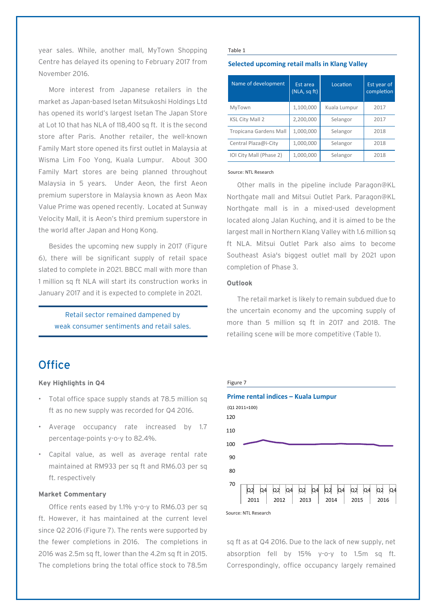year sales. While, another mall, MyTown Shopping Centre has delayed its opening to February 2017 from November 2016.

More interest from Japanese retailers in the market as Japan-based Isetan Mitsukoshi Holdings Ltd has opened its world's largest Isetan The Japan Store at Lot 10 that has NLA of 118,400 sq ft. It is the second store after Paris. Another retailer, the well-known Family Mart store opened its first outlet in Malaysia at Wisma Lim Foo Yong, Kuala Lumpur. About 300 Family Mart stores are being planned throughout Malaysia in 5 years. Under Aeon, the first Aeon premium superstore in Malaysia known as Aeon Max Value Prime was opened recently. Located at Sunway Velocity Mall, it is Aeon's third premium superstore in the world after Japan and Hong Kong.

Besides the upcoming new supply in 2017 (Figure 6), there will be significant supply of retail space slated to complete in 2021. BBCC mall with more than 1 million sq ft NLA will start its construction works in January 2017 and it is expected to complete in 2021.

Retail sector remained dampened by weak consumer sentiments and retail sales.

# **Office**

#### **Key Highlights in Q4**

- Total office space supply stands at 78.5 million sq ft as no new supply was recorded for Q4 2016.
- Average occupancy rate increased by 1.7 percentage-points y-o-y to 82.4%.
- Capital value, as well as average rental rate maintained at RM933 per sq ft and RM6.03 per sq ft. respectively

#### **Market Commentary**

Office rents eased by 1.1% y-o-y to RM6.03 per sq ft. However, it has maintained at the current level since Q2 2016 (Figure 7). The rents were supported by the fewer completions in 2016. The completions in 2016 was 2.5m sq ft, lower than the 4.2m sq ft in 2015. The completions bring the total office stock to 78.5m

#### Table 1

#### **Selected upcoming retail malls in Klang Valley**

| Name of development     | Est area<br>(NLA, sqft) | Location     | Est year of<br>completion |
|-------------------------|-------------------------|--------------|---------------------------|
| MyTown                  | 1,100,000               | Kuala Lumpur | 2017                      |
| <b>KSL City Mall 2</b>  | 2,200,000               | Selangor     | 2017                      |
| Tropicana Gardens Mall  | 1,000,000               | Selangor     | 2018                      |
| Central Plaza@i-City    | 1,000,000               | Selangor     | 2018                      |
| IOI City Mall (Phase 2) | 1,000,000               | Selangor     | 2018                      |

#### Source: NTL Research

Other malls in the pipeline include Paragon@KL Northgate mall and Mitsui Outlet Park. Paragon@KL Northgate mall is in a mixed-used development located along Jalan Kuching, and it is aimed to be the largest mall in Northern Klang Valley with 1.6 million sq ft NLA. Mitsui Outlet Park also aims to become Southeast Asia's biggest outlet mall by 2021 upon completion of Phase 3.

#### **Outlook**

The retail market is likely to remain subdued due to the uncertain economy and the upcoming supply of more than 5 million sq ft in 2017 and 2018. The retailing scene will be more competitive (Table 1).



sq ft as at Q4 2016. Due to the lack of new supply, net absorption fell by 15% y-o-y to 1.5m sq ft. Correspondingly, office occupancy largely remained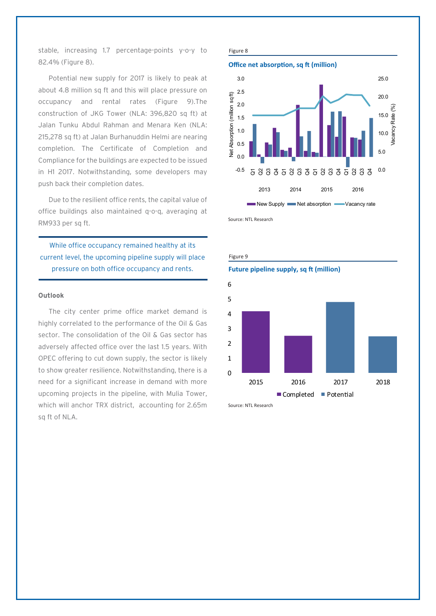stable, increasing 1.7 percentage-points y-o-y to 82.4% (Figure 8).

Potential new supply for 2017 is likely to peak at about 4.8 million sq ft and this will place pressure on occupancy and rental rates (Figure 9).The construction of JKG Tower (NLA: 396,820 sq ft) at Jalan Tunku Abdul Rahman and Menara Ken (NLA: 215,278 sq ft) at Jalan Burhanuddin Helmi are nearing completion. The Certificate of Completion and Compliance for the buildings are expected to be issued in H1 2017. Notwithstanding, some developers may push back their completion dates.

Due to the resilient office rents, the capital value of office buildings also maintained q-o-q, averaging at RM933 per sq ft.

While office occupancy remained healthy at its current level, the upcoming pipeline supply will place pressure on both office occupancy and rents.

#### **Outlook**

The city center prime office market demand is highly correlated to the performance of the Oil & Gas sector. The consolidation of the Oil & Gas sector has adversely affected office over the last 1.5 years. With OPEC offering to cut down supply, the sector is likely to show greater resilience. Notwithstanding, there is a need for a significant increase in demand with more upcoming projects in the pipeline, with Mulia Tower, which will anchor TRX district, accounting for 2.65m sq ft of NLA.







Source: NTL Research